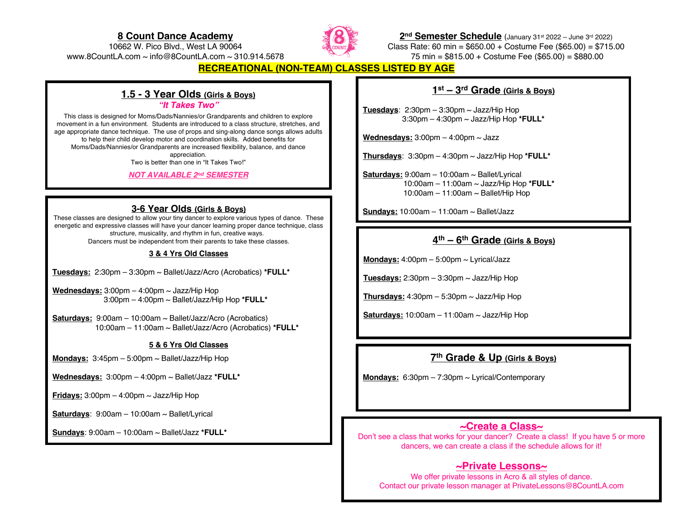### **8 Count Dance Academy** 10662 W. Pico Blvd., West LA 90064



**2nd Semester Schedule** (January 31st 2022 – June 3rd 2022) Class Rate: 60 min = \$650.00 + Costume Fee (\$65.00) = \$715.00 75 min = \$815.00 + Costume Fee (\$65.00) = \$880.00

www.8CountLA.com ~ info@8CountLA.com ~ 310.914.5678

## **RECREATIONAL (NON-TEAM) CLASSES LISTED BY AGE**

## **1.5 - 3 Year Olds (Girls & Boys)**

### *"It Takes Two"*

This class is designed for Moms/Dads/Nannies/or Grandparents and children to explore movement in a fun environment. Students are introduced to a class structure, stretches, and age appropriate dance technique. The use of props and sing-along dance songs allows adults to help their child develop motor and coordination skills. Added benefits for Moms/Dads/Nannies/or Grandparents are increased flexibility, balance, and dance appreciation. Two is better than one in "It Takes Two!"

### *NOT AVAILABLE 2nd SEMESTER*

### **3-6 Year Olds (Girls & Boys)**

These classes are designed to allow your tiny dancer to explore various types of dance. These energetic and expressive classes will have your dancer learning proper dance technique, class structure, musicality, and rhythm in fun, creative ways.

Dancers must be independent from their parents to take these classes.

### **3 & 4 Yrs Old Classes**

**Tuesdays:** 2:30pm – 3:30pm ~ Ballet/Jazz/Acro (Acrobatics) **\*FULL\***

**Wednesdays:** 3:00pm – 4:00pm ~ Jazz/Hip Hop 3:00pm – 4:00pm ~ Ballet/Jazz/Hip Hop **\*FULL\***

**Saturdays:** 9:00am – 10:00am ~ Ballet/Jazz/Acro (Acrobatics) 10:00am – 11:00am ~ Ballet/Jazz/Acro (Acrobatics) **\*FULL\***

### **5 & 6 Yrs Old Classes**

**Mondays:** 3:45pm – 5:00pm ~ Ballet/Jazz/Hip Hop

**Wednesdays:** 3:00pm – 4:00pm ~ Ballet/Jazz **\*FULL\***

**Fridays:**  $3:00 \text{pm} - 4:00 \text{pm} \sim \text{Jazz/Hip Hop}$ 

**Saturdays**: 9:00am – 10:00am ~ Ballet/Lyrical

**Sundays**: 9:00am – 10:00am ~ Ballet/Jazz **\*FULL\***

## **1st – 3rd Grade (Girls & Boys)**

**Tuesdays**:  $2:30 \text{pm} - 3:30 \text{pm} \sim \text{Jazz/Hip Hop}$ 3:30pm – 4:30pm ~ Jazz/Hip Hop **\*FULL\***

**Wednesdays:** 3:00pm – 4:00pm ~ Jazz

**Thursdays**: 3:30pm – 4:30pm ~ Jazz/Hip Hop **\*FULL\***

**Saturdays:** 9:00am – 10:00am ~ Ballet/Lyrical 10:00am – 11:00am ~ Jazz/Hip Hop **\*FULL\*** 10:00am – 11:00am ~ Ballet/Hip Hop

**Sundays:** 10:00am – 11:00am ~ Ballet/Jazz

## **4th – 6th Grade (Girls & Boys)**

**Mondays:** 4:00pm – 5:00pm ~ Lyrical/Jazz

**Tuesdays:** 2:30pm  $-$  3:30pm  $\sim$  Jazz/Hip Hop

**Thursdays:** 4:30pm – 5:30pm ~ Jazz/Hip Hop

**Saturdays:** 10:00am – 11:00am ~ Jazz/Hip Hop

## **7th Grade & Up (Girls & Boys)**

**Mondays:** 6:30pm – 7:30pm ~ Lyrical/Contemporary

## **~Create a Class~**

Don't see a class that works for your dancer? Create a class! If you have 5 or more dancers, we can create a class if the schedule allows for it!

## **~Private Lessons~**

We offer private lessons in Acro & all styles of dance. Contact our private lesson manager at PrivateLessons@8CountLA.com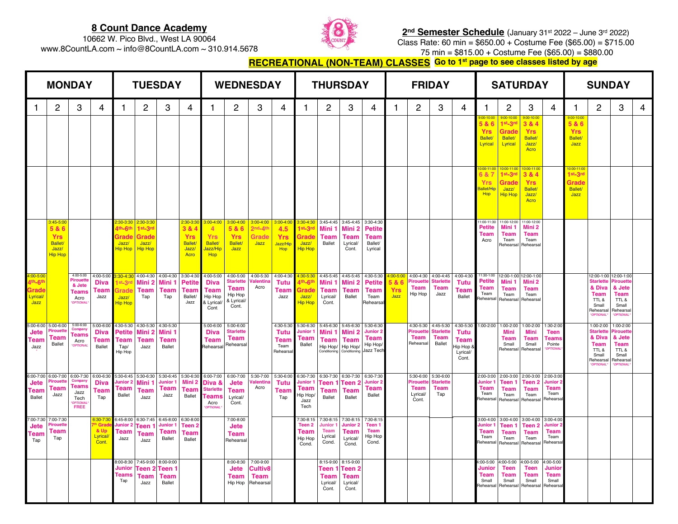## **8 Count Dance Academy** 10662 W. Pico Blvd., West LA 90064

www.8CountLA.com ~ info@8CountLA.com ~ 310.914.5678



**2nd Semester Schedule** (January 31st 2022 – June 3rd 2022) Class Rate: 60 min = \$650.00 + Costume Fee (\$65.00) = \$715.00 75 min = \$815.00 + Costume Fee (\$65.00) = \$880.00

**<u>RECREATIONAL (NON-TEAM) CLASSES</u> Go to 1st page to see classes listed by age** 

| <b>MONDAY</b>                                   |                                                                                            |                                                                   |                                                      | <b>TUESDAY</b>                                                                  |                                                                      |                                                           |                                                                     | <b>WEDNESDAY</b>                                                               |                                                                         |                                              |                                                   | <b>THURSDAY</b>                                                                         |                                                         |                                                                 |                                                                | <b>FRIDAY</b>                             |                                                     |                                               |                                                             | <b>SATURDAY</b>                                              |                                                            |                                                                          |                                                               | <b>SUNDAY</b>                                                |                                                                                                   |                                                                                          |   |
|-------------------------------------------------|--------------------------------------------------------------------------------------------|-------------------------------------------------------------------|------------------------------------------------------|---------------------------------------------------------------------------------|----------------------------------------------------------------------|-----------------------------------------------------------|---------------------------------------------------------------------|--------------------------------------------------------------------------------|-------------------------------------------------------------------------|----------------------------------------------|---------------------------------------------------|-----------------------------------------------------------------------------------------|---------------------------------------------------------|-----------------------------------------------------------------|----------------------------------------------------------------|-------------------------------------------|-----------------------------------------------------|-----------------------------------------------|-------------------------------------------------------------|--------------------------------------------------------------|------------------------------------------------------------|--------------------------------------------------------------------------|---------------------------------------------------------------|--------------------------------------------------------------|---------------------------------------------------------------------------------------------------|------------------------------------------------------------------------------------------|---|
|                                                 | 2                                                                                          | 3                                                                 | 4                                                    | 1                                                                               | 2                                                                    | 3                                                         | 4                                                                   | $\mathbf{1}$                                                                   | 2                                                                       | 3                                            | 4                                                 | 1                                                                                       | 2                                                       | 3                                                               | 4                                                              | 1.                                        | 2                                                   | 3                                             | 4                                                           | 1                                                            | 2                                                          | 3                                                                        | 4                                                             | 1                                                            | 2                                                                                                 | 3                                                                                        | 4 |
|                                                 |                                                                                            |                                                                   |                                                      |                                                                                 |                                                                      |                                                           |                                                                     |                                                                                |                                                                         |                                              |                                                   |                                                                                         |                                                         |                                                                 |                                                                |                                           |                                                     |                                               |                                                             | 5&6<br><b>Yrs</b><br><b>Ballet/</b><br>Lyrical               | 1 <sup>st_</sup> 3rc<br>Grade<br><b>Ballet/</b><br>Lyrical | $:00 - 10:01$<br>3 & 4<br><b>Yrs</b><br><b>Ballet/</b><br>Jazz/<br>Acro  |                                                               | <b>100-101</b><br>5&6<br><b>Yrs</b><br><b>Ballet</b><br>Jazz |                                                                                                   |                                                                                          |   |
|                                                 |                                                                                            |                                                                   |                                                      |                                                                                 |                                                                      |                                                           |                                                                     |                                                                                |                                                                         |                                              |                                                   |                                                                                         |                                                         |                                                                 |                                                                |                                           |                                                     |                                               |                                                             | $00-11$<br>8 <sub>8</sub><br>Yrs<br><b>Ballet/Hin</b><br>Hop | 0:00-11:0<br>1st_3rd<br>Grade<br>Jazz/<br><b>Hip Hop</b>   | $0:00 - 11:00$<br>3 & 4<br><b>Yrs</b><br><b>Ballet/</b><br>Jazz/<br>Acro |                                                               | $0:00 - 11:0$<br>1st_3rd<br>Grade<br><b>Ballet/</b><br>Jazz  |                                                                                                   |                                                                                          |   |
|                                                 | <mark>3:45-5:00</mark><br>5 & 6<br><b>Yrs</b><br><b>Ballet/</b><br>Jazz/<br><b>Hip Hop</b> |                                                                   |                                                      | :30-3:30<br>1 <sup>th</sup> -6 <sup>th</sup><br>irad<br>Jazz/<br><b>Hip Hop</b> | 2:30-3:30<br>1 <sup>st_3rd</sup><br>Grade<br>Jazz/<br><b>Hip Hop</b> |                                                           | 2:30-3:30<br>3 & 4<br><b>Yrs</b><br><b>Ballet/</b><br>Jazz/<br>Acro | 3:00-4:00<br>$\overline{4}$<br><b>Yrs</b><br><b>Ballet/</b><br>Jazz/Hip<br>Hop | 3:00-4:00<br>5 & 6<br><b>Yrs</b><br><b>Ballet/</b><br>Jazz              | $3:00 - 4:00$<br>$2nd-4$ th<br>Grade<br>Jazz | 3:00-4:00<br>4.5<br><b>Yrs</b><br>Jazz/Hir<br>Hop | 3:30-4:30<br>1st_3rd<br>Grade<br>Jazz/<br><b>Hip Hop</b>                                | $3:45 - 4:45$<br>Mini 1<br><b>Team</b><br>Ballet        | $3:45 - 4:45$<br>Mini <sub>2</sub><br>Team<br>Lyrical/<br>Cont. | 3:30-4:30<br>Petite<br>Team<br>Ballet/<br>Lyrical              |                                           |                                                     |                                               |                                                             | 1:00-11:30<br>Petite<br>Team<br>Acro                         | 1:00-12:00<br>Mini 1<br>Team<br>Team<br>Rehearsal          | 11:00-12:00<br>Mini 2<br>Team<br>Team<br>Rehearsal                       |                                                               |                                                              |                                                                                                   |                                                                                          |   |
| 4:00-5:0<br>4th-6th<br>Grad<br>Lyrical/<br>Jazz |                                                                                            | 4:00-5:00<br>≀ir∩uett<br>& Jete<br>Teams<br>Acro<br><b>PTIONA</b> | 4:00-5:00<br><b>Diva</b><br>Team<br>Jazz             | $:30 - 4:30$<br>ìrad<br>Jazz/<br><b>Hip Hop</b>                                 | 4:00-4:30<br>Mini 2<br>Team<br>Tap                                   | 4:00-4:30<br>Mini 1<br>Team<br>Tap                        | 3:30-4:30<br>Petite<br>Team<br>Ballet/<br>Jazz                      | 4:00-5:00<br><b>Diva</b><br>Team<br>Hip Hop<br>& Lyrical<br>Cont.              | 4:00-5:00<br><b>Starlette</b><br>Team<br>Hip Hop<br>& Lyrical/<br>Cont. | 4:00-5:30<br>/alentin<br>Acro                | 4:00-4:30<br>Tutu<br>Team<br>Jazz                 | 1:30-5:30<br>1 <sup>th</sup> -6 <sup>th</sup><br>Grado<br>Jazz/<br><mark>Hip Hop</mark> | 4:45-5:45<br>Mini 1<br><b>Team</b><br>Lyrical/<br>Cont. | 4:45-5:45<br>Mini <sub>2</sub><br>Team<br>Ballet                | 4:30-5:30<br><b>Petite</b><br><b>Team</b><br>Team<br>Rehearsal | 4:00-5:00<br>5&6<br><b>Yrs</b><br>$J$ azz | 4:00-4:30<br>Pirouette<br>Team<br>Hip Hop           | 4:00-4:45<br><b>Starlette</b><br>Team<br>Jazz | 4:00-4:30<br>Tutu<br>Team<br>Ballet                         | 11:30-1:00<br>Petite<br>Team<br>Team<br>Rehearsal            | Mini 1<br>Team<br>Team<br>Rehearsal                        | 2:00-1:00 12:00-1:00<br>Mini 2<br><b>Team</b><br>Team<br>Rehearsal       |                                                               |                                                              | 12:00-1:00<br>Starlett<br>& Diva<br>Team<br>TTL &<br>Small<br>Rehearsal<br><i><b>OPTIONAL</b></i> | 12:00-1:00<br>Pirouett<br>& Jete<br>Team<br>TTL &<br>Small<br>Rehearsal                  |   |
| 5:00-6:00<br>Jete<br>Tean<br>Jazz               | 5:00-6:00<br>Team<br><b>Ballet</b>                                                         | 5:00-6:00<br>Гeams<br>Acro<br><b>OPTION</b>                       | $5:00 - 6:00$<br><b>Diva</b><br>Team<br>Ballet       | 4:30-5:30<br>Petite<br>Team<br>Tap/<br>Hip Hop                                  | 4:30-5:30<br>Mini 2<br>Team<br>Jazz                                  | 4:30-5:30<br>Mini 1<br>Team<br><b>Ballet</b>              |                                                                     | 5:00-6:00<br><b>Diva</b><br>Team<br>Rehearsa                                   | 5:00-6:00<br><b>Starlette</b><br>Team<br>Rehearsal                      |                                              | 4:30-5:30<br>Tutu<br>Team<br>Team<br>Rehearsa     | 5:30-6:30<br>lunior<br>Team<br><b>Ballet</b>                                            | 5:45-6:30<br>Mini 1<br>Team<br>Hip Hop/<br>Conditioning | 5:45-6:30<br>Mini 2<br>Team<br>Hip Hop/<br>Conditioning         | 5:30-6:30<br>Junior :<br>Team<br>Hip Hop/<br>Jazz Tech         |                                           | 4:30-5:30<br>Pirouette<br>Team<br>Rehearsal         | 4:45-5:30<br>Starlett<br>Team<br>Ballet       | 4:30-5:30<br>Tutu<br>Team<br>lip Hop &<br>Lyrical/<br>Cont. | 1:00-2:00                                                    | 1:00-2:00<br>Mini<br>Team<br>Small<br>Rehearsal            | 1:00-2:00<br>Mini<br>Team<br>Small<br>Rehearsal                          | 1:30-2:00<br><b>Teen</b><br>Team:<br>Pointe<br><b>OPTIONA</b> |                                                              | 1:00-2:00<br><b>Starlette</b><br>& Diva<br>Team<br>TTL &<br>Small<br>Rehearsal<br><b>OPTIONAL</b> | 1:00-2:00<br>Piroueti<br>& Jete<br>Team<br>TTL &<br>Small<br>Rehearsa<br><b>OPTIONAL</b> |   |
| 6:00-7:00<br>Jete<br>Tean<br>Ballet             | 6:00-7:00<br>irouette<br><b>Team</b><br>Jazz                                               | 6:00-7:30<br><u>Feams</u><br>Jazz<br>Tech<br><b>FREE</b>          | 6:00-6:30<br><b>Diva</b><br>Team<br>Tap              | $5:30 - 6:45$<br>Junior 2<br>Team<br><b>Ballet</b>                              | 5:30-6:30<br>Mini <sup>.</sup><br>Team<br>Jazz                       | 5:30-6:45<br>Junior <sup>.</sup><br>Team<br>Jazz          | 5:30-6:30<br>Mini 2<br>Team<br>Ballet                               | 6:00-7:00<br>Diva &<br><b>Starlette</b><br><b>Feams</b><br>Acro                | 6:00-7:00<br>Jete<br>Team<br>Lyrical/<br>Cont.                          | 5:30-7:00<br><b>/alentin</b><br>Acro         | 5:30-6:00<br>Tutu<br>Team<br>Tap                  | 6:30-7:30<br>Junior <sup>®</sup><br>Team<br>Hip Hop<br>Jazz<br>Tech                     | 6:30-7:30<br>Teen 1<br>Team<br><b>Ballet</b>            | 6:30-7:30<br>Teen 2<br>Team<br>Ballet                           | 6:30-7:30<br>Junior :<br>Team<br>Ballet                        |                                           | 5:30-6:00<br>Pirouette<br>Team<br>Lyrical/<br>Cont. | 5:30-6:00<br><b>Starlette</b><br>Team<br>Tap  |                                                             | $2:00 - 3:00$<br>lunior<br>Team<br>Team<br><b>Rehearsal</b>  | 2:00-3:00<br>Teen 1<br>Team<br>Team<br>Rehearsal           | 2:00-3:00<br>Teen 2<br><b>Team</b><br>Team<br>Rehearsal                  | 2:00-3:00<br>Junior:<br>Team<br>Team<br>Rehearsa              |                                                              |                                                                                                   |                                                                                          |   |
| 7:00-7:30<br>Jete<br>Team<br>Tap                | 7:00-7:30<br>rouett<br>Team<br>Tap                                                         |                                                                   | 6:30-7:30<br>Grad<br>& Up<br><b>Lyrical</b><br>Cont. | 3:45-8:00<br>unior∶<br><b>Feam</b><br>Jazz                                      | 6:30-7:45<br><b>Teen</b><br>Team<br>Jazz                             | 6:45-8:00<br>lunior <sup>.</sup><br>Team<br><b>Ballet</b> | 6:30-8:00<br>Teen 2<br>Tean<br>Ballet                               |                                                                                | 7:00-8:00<br>Jete<br><b>Team</b><br>Rehearsal                           |                                              |                                                   | $'$ :30-8:15<br>Teen 2<br>Team<br>Hip Hop<br>Cond.                                      | 7:30-8:15<br>lunior<br><b>Team</b><br>Lyrical<br>Cond.  | 7:30-8:15<br>Junior 2<br>Team<br>Lyrical/<br>Cond.              | 7:30-8:15<br>Teen 1<br><b>Team</b><br>Hip Hop<br>Cond.         |                                           |                                                     |                                               |                                                             | 00-4:00<br>ınior<br>Геаm<br>Team<br><b>Rehearsa</b>          | $3:00 - 4:00$<br>Feen 1<br>Team<br>Team<br>Rehearsal       | 3:00-4:00<br>Teen 2<br>Team<br>Team<br>Rehearsal                         | 3:00-4:00<br>Junior<br>Team<br>Team<br>Rehearsa               |                                                              |                                                                                                   |                                                                                          |   |
|                                                 |                                                                                            |                                                                   |                                                      | 3:00-8:30<br>Junio<br><b>Team:</b><br>Tap                                       | 7:45-9:00<br>'een :<br>Team<br>Jazz                                  | 8:00-9:00<br>Teen<br>Team<br>Ballet                       |                                                                     |                                                                                | 8:00-8:30<br>Jete<br><b>Team</b><br>Hip Hop                             | 7:00-9:00<br>Cultiv8<br>Team<br>Rehearsal    |                                                   |                                                                                         | 8:15-9:00<br>Teen<br>Team<br>Lyrical/<br>Cont.          | 8:15-9:00<br>Teen 2<br>Team<br>Lyrical/<br>Cont.                |                                                                |                                           |                                                     |                                               |                                                             | $:00 - 5:00$<br>Junior<br>Team<br>Small<br>lehearsa          | 4:00-5:00<br><b>Teen</b><br>Team<br>Small<br>Rehearsal     | 4:00-5:00<br>Teen<br><b>Team</b><br>Small<br>Rehearsal                   | 4:00-5:00<br>Junioı<br><b>Team</b><br>Small<br>Rehearsa       |                                                              |                                                                                                   |                                                                                          |   |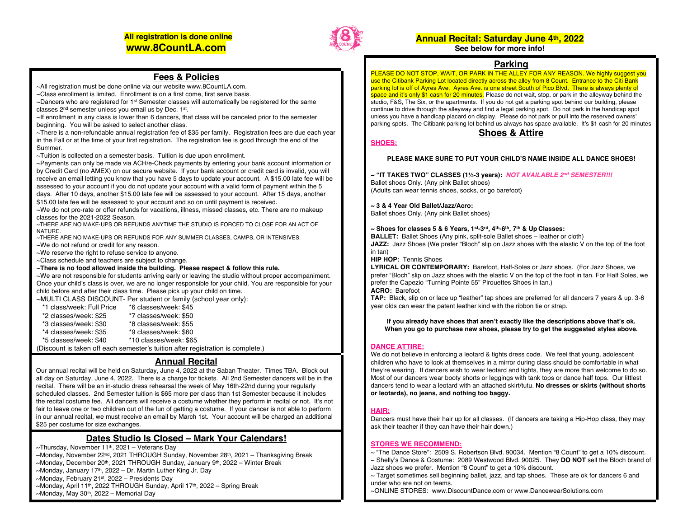## **All registration is done online www.8CountLA.com**



## **Annual Recital: Saturday June 4th, 2022**

### **See below for more info!**

### **Parking**

PLEASE DO NOT STOP, WAIT, OR PARK IN THE ALLEY FOR ANY REASON. We highly suggest you use the Citibank Parking Lot located directly across the alley from 8 Count. Entrance to the Citi Bank parking lot is off of Ayres Ave. Ayres Ave. is one street South of Pico Blvd. There is always plenty of space and it's only \$1 cash for 20 minutes. Please do not wait, stop, or park in the alleyway behind the studio, F&S, The Six, or the apartments. If you do not get a parking spot behind our building, please continue to drive through the alleyway and find a legal parking spot. Do not park in the handicap spot unless you have a handicap placard on display. Please do not park or pull into the reserved owners' parking spots. The Citibank parking lot behind us always has space available. It's \$1 cash for 20 minutes

### **Shoes & Attire**

## **SHOES:**

### **PLEASE MAKE SURE TO PUT YOUR CHILD'S NAME INSIDE ALL DANCE SHOES!**

**~ "IT TAKES TWO" CLASSES (1½-3 years):** *NOT AVAILABLE 2nd SEMESTER!!!* Ballet shoes Only. (Any pink Ballet shoes) (Adults can wear tennis shoes, socks, or go barefoot)

#### **~ 3 & 4 Year Old Ballet/Jazz/Acro:**

Ballet shoes Only. (Any pink Ballet shoes)

#### **~ Shoes for classes 5 & 6 Years, 1st-3rd, 4th-6th, 7th & Up Classes:**

**BALLET:** Ballet Shoes (Any pink, split-sole Ballet shoes – leather or cloth) **JAZZ:** Jazz Shoes (We prefer "Bloch" slip on Jazz shoes with the elastic V on the top of the foot in tan)

**HIP HOP:** Tennis Shoes

**LYRICAL OR CONTEMPORARY:** Barefoot, Half-Soles or Jazz shoes. (For Jazz Shoes, we prefer "Bloch" slip on Jazz shoes with the elastic V on the top of the foot in tan. For Half Soles, we prefer the Capezio "Turning Pointe 55" Pirouettes Shoes in tan.) **ACRO:** Barefoot

**TAP:** Black, slip on or lace up "leather" tap shoes are preferred for all dancers 7 years & up. 3-6 year olds can wear the patent leather kind with the ribbon tie or strap.

**If you already have shoes that aren't exactly like the descriptions above that's ok. When you go to purchase new shoes, please try to get the suggested styles above.**

### **DANCE ATTIRE:**

We do not believe in enforcing a leotard & tights dress code. We feel that young, adolescent children who have to look at themselves in a mirror during class should be comfortable in what they're wearing. If dancers wish to wear leotard and tights, they are more than welcome to do so. Most of our dancers wear booty shorts or leggings with tank tops or dance half tops. Our littlest dancers tend to wear a leotard with an attached skirt/tutu. **No dresses or skirts (without shorts or leotards), no jeans, and nothing too baggy.**

### **HAIR:**

Dancers must have their hair up for all classes. (If dancers are taking a Hip-Hop class, they may ask their teacher if they can have their hair down.)

### **STORES WE RECOMMEND:**

- ~ "The Dance Store": 2509 S. Robertson Blvd. 90034. Mention "8 Count" to get a 10% discount.
- ~ Shelly's Dance & Costume: 2089 Westwood Blvd. 90025. They **DO NOT** sell the Bloch brand of Jazz shoes we prefer. Mention "8 Count" to get a 10% discount.

 $\sim$  Target sometimes sell beginning ballet, jazz, and tap shoes. These are ok for dancers 6 and under who are not on teams.

~ONLINE STORES: www.DiscountDance.com or www.DancewearSolutions.com

### **Fees & Policies**

~All registration must be done online via our website www.8CountLA.com.

 $\sim$ Class enrollment is limited. Enrollment is on a first come, first serve basis.

~Dancers who are registered for 1st Semester classes will automatically be registered for the same classes 2nd semester unless you email us by Dec. 1st.

~If enrollment in any class is lower than 6 dancers, that class will be canceled prior to the semester beginning. You will be asked to select another class.

~There is a non-refundable annual registration fee of \$35 per family. Registration fees are due each year in the Fall or at the time of your first registration. The registration fee is good through the end of the Summer.

~Tuition is collected on a semester basis. Tuition is due upon enrollment.

~Payments can only be made via ACH/e-Check payments by entering your bank account information or by Credit Card (no AMEX) on our secure website. If your bank account or credit card is invalid, you will receive an email letting you know that you have 5 days to update your account. A \$15.00 late fee will be assessed to your account if you do not update your account with a valid form of payment within the 5 days. After 10 days, another \$15.00 late fee will be assessed to your account. After 15 days, another \$15.00 late fee will be assessed to your account and so on until payment is received.

~We do not pro-rate or offer refunds for vacations, illness, missed classes, etc. There are no makeup classes for the 2021-2022 Season.

~THERE ARE NO MAKE-UPS OR REFUNDS ANYTIME THE STUDIO IS FORCED TO CLOSE FOR AN ACT OF NATURE.

~THERE ARE NO MAKE-UPS OR REFUNDS FOR ANY SUMMER CLASSES, CAMPS, OR INTENSIVES.

~We do not refund or credit for any reason.

~We reserve the right to refuse service to anyone.

~Class schedule and teachers are subject to change.

~**There is no food allowed inside the building. Please respect & follow this rule.**

~We are not responsible for students arriving early or leaving the studio without proper accompaniment. Once your child's class is over, we are no longer responsible for your child. You are responsible for your child before and after their class time. Please pick up your child on time.

~MULTI CLASS DISCOUNT- Per student or family (school year only):

| *1 class/week: Full Price | *6 classes/week: \$45                                                           |
|---------------------------|---------------------------------------------------------------------------------|
| *2 classes/week: \$25     | *7 classes/week: \$50                                                           |
| *3 classes/week: \$30     | *8 classes/week: \$55                                                           |
| *4 classes/week: \$35     | *9 classes/week: \$60                                                           |
| *5 classes/week: \$40     | *10 classes/week: \$65                                                          |
|                           | (Discount is taken off each semester's tuition after registration is complete.) |

**Annual Recital**

Our annual recital will be held on Saturday, June 4, 2022 at the Saban Theater. Times TBA. Block out all day on Saturday, June 4, 2022. There is a charge for tickets. All 2nd Semester dancers will be in the recital. There will be an in-studio dress rehearsal the week of May 16th-22nd during your regularly scheduled classes. 2nd Semester tuition is \$65 more per class than 1st Semester because it includes the recital costume fee. All dancers will receive a costume whether they perform in recital or not. It's not fair to leave one or two children out of the fun of getting a costume. If your dancer is not able to perform in our annual recital, we must receive an email by March 1st. Your account will be charged an additional \$25 per costume for size exchanges.

## **Dates Studio Is Closed – Mark Your Calendars!**

- $\sim$ Thursday, November 11<sup>th</sup>, 2021 Veterans Day
- ~Monday, November 22nd, 2021 THROUGH Sunday, November 28th, 2021 Thanksgiving Break
- ~Monday, December 20<sup>th</sup>, 2021 THROUGH Sunday, January 9<sup>th</sup>, 2022 Winter Break
- $\sim$ Monday, January 17<sup>th</sup>, 2022 Dr. Martin Luther King Jr. Day
- ~Monday, February 21<sup>st</sup>, 2022 Presidents Day
- ~Monday, April 11<sup>th</sup>, 2022 THROUGH Sunday, April 17<sup>th</sup>, 2022 Spring Break
- $\sim$ Monday, May 30<sup>th</sup>, 2022 Memorial Day